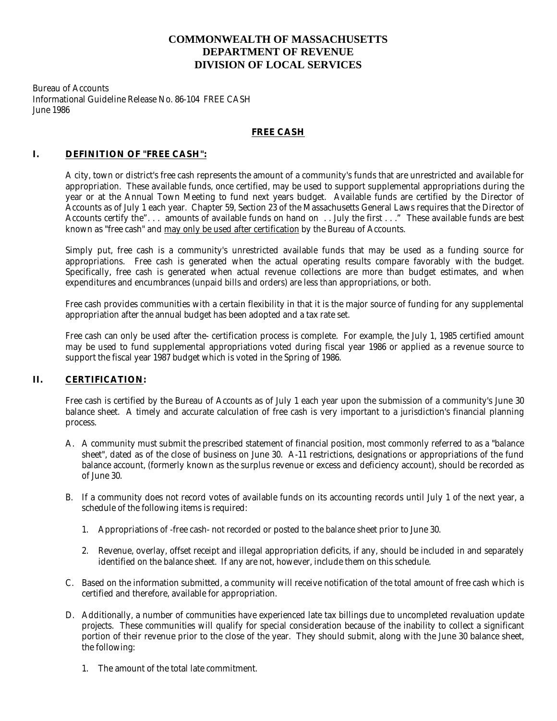# **COMMONWEALTH OF MASSACHUSETTS DEPARTMENT OF REVENUE DIVISION OF LOCAL SERVICES**

Bureau of Accounts Informational Guideline Release No. 86-104 FREE CASH June 1986

### **FREE CASH**

# **I. DEFINITION OF "FREE CASH":**

A city, town or district's free cash represents the amount of a community's funds that are unrestricted and available for appropriation. These available funds, once certified, may be used to support supplemental appropriations during the year or at the Annual Town Meeting to fund next years budget. Available funds are certified by the Director of Accounts as of July 1 each year. Chapter 59, Section 23 of the Massachusetts General Laws requires that the Director of Accounts certify the". . . amounts of available funds on hand on . . July the first . . ." These available funds are best known as "free cash" and may only be used after certification by the Bureau of Accounts.

Simply put, free cash is a community's unrestricted available funds that may be used as a funding source for appropriations. Free cash is generated when the actual operating results compare favorably with the budget. Specifically, free cash is generated when actual revenue collections are more than budget estimates, and when expenditures and encumbrances (unpaid bills and orders) are less than appropriations, or both.

Free cash provides communities with a certain flexibility in that it is the major source of funding for any supplemental appropriation after the annual budget has been adopted and a tax rate set.

Free cash can only be used after the- certification process is complete. For example, the July 1, 1985 certified amount may be used to fund supplemental appropriations voted during fiscal year 1986 or applied as a revenue source to support the fiscal year 1987 budget which is voted in the Spring of 1986.

## **II. CERTIFICATION:**

Free cash is certified by the Bureau of Accounts as of July 1 each year upon the submission of a community's June 30 balance sheet. A timely and accurate calculation of free cash is very important to a jurisdiction's financial planning process.

- A. A community must submit the prescribed statement of financial position, most commonly referred to as a "balance sheet", dated as of the close of business on June 30. A-11 restrictions, designations or appropriations of the fund balance account, (formerly known as the surplus revenue or excess and deficiency account), should be recorded as of June 30.
- B. If a community does not record votes of available funds on its accounting records until July 1 of the next year, a schedule of the following items is required:
	- 1. Appropriations of -free cash- not recorded or posted to the balance sheet prior to June 30.
	- 2. Revenue, overlay, offset receipt and illegal appropriation deficits, if any, should be included in and separately identified on the balance sheet. If any are not, however, include them on this schedule.
- C. Based on the information submitted, a community will receive notification of the total amount of free cash which is certified and therefore, available for appropriation.
- D. Additionally, a number of communities have experienced late tax billings due to uncompleted revaluation update projects. These communities will qualify for special consideration because of the inability to collect a significant portion of their revenue prior to the close of the year. They should submit, along with the June 30 balance sheet, the following:
	- 1. The amount of the total late commitment.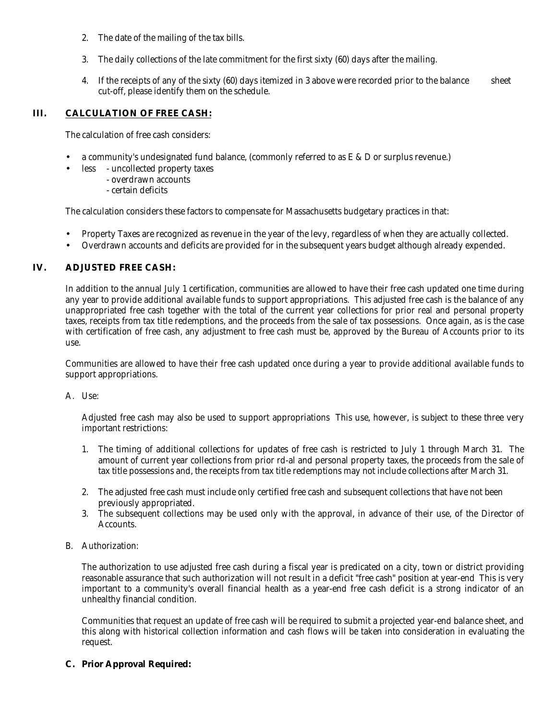- 2. The date of the mailing of the tax bills.
- 3. The daily collections of the late commitment for the first sixty (60) days after the mailing.
- 4. If the receipts of any of the sixty (60) days itemized in 3 above were recorded prior to the balance sheet cut-off, please identify them on the schedule.

## **III. CALCULATION OF FREE CASH:**

The calculation of free cash considers:

- a community's undesignated fund balance, (commonly referred to as E & D or surplus revenue.)
- less uncollected property taxes
	- overdrawn accounts
	- certain deficits

The calculation considers these factors to compensate for Massachusetts budgetary practices in that:

- Property Taxes are recognized as revenue in the year of the levy, regardless of when they are actually collected.
- Overdrawn accounts and deficits are provided for in the subsequent years budget although already expended.

### **IV. ADJUSTED FREE CASH:**

In addition to the annual July 1 certification, communities are allowed to have their free cash updated one time during any year to provide additional available funds to support appropriations. This adjusted free cash is the balance of any unappropriated free cash together with the total of the current year collections for prior real and personal property taxes, receipts from tax title redemptions, and the proceeds from the sale of tax possessions. Once again, as is the case with certification of free cash, any adjustment to free cash must be, approved by the Bureau of Accounts prior to its use.

Communities are allowed to have their free cash updated once during a year to provide additional available funds to support appropriations.

#### A. Use:

Adjusted free cash may also be used to support appropriations This use, however, is subject to these three very important restrictions:

- 1. The timing of additional collections for updates of free cash is restricted to July 1 through March 31. The amount of current year collections from prior rd-al and personal property taxes, the proceeds from the sale of tax title possessions and, the receipts from tax title redemptions may not include collections after March 31.
- 2. The adjusted free cash must include only certified free cash and subsequent collections that have not been previously appropriated.
- 3. The subsequent collections may be used only with the approval, in advance of their use, of the Director of Accounts.
- B. Authorization:

The authorization to use adjusted free cash during a fiscal year is predicated on a city, town or district providing reasonable assurance that such authorization will not result in a deficit "free cash" position at year-end This is very important to a community's overall financial health as a year-end free cash deficit is a strong indicator of an unhealthy financial condition.

Communities that request an update of free cash will be required to submit a projected year-end balance sheet, and this along with historical collection information and cash flows will be taken into consideration in evaluating the request.

#### **C. Prior Approval Required:**